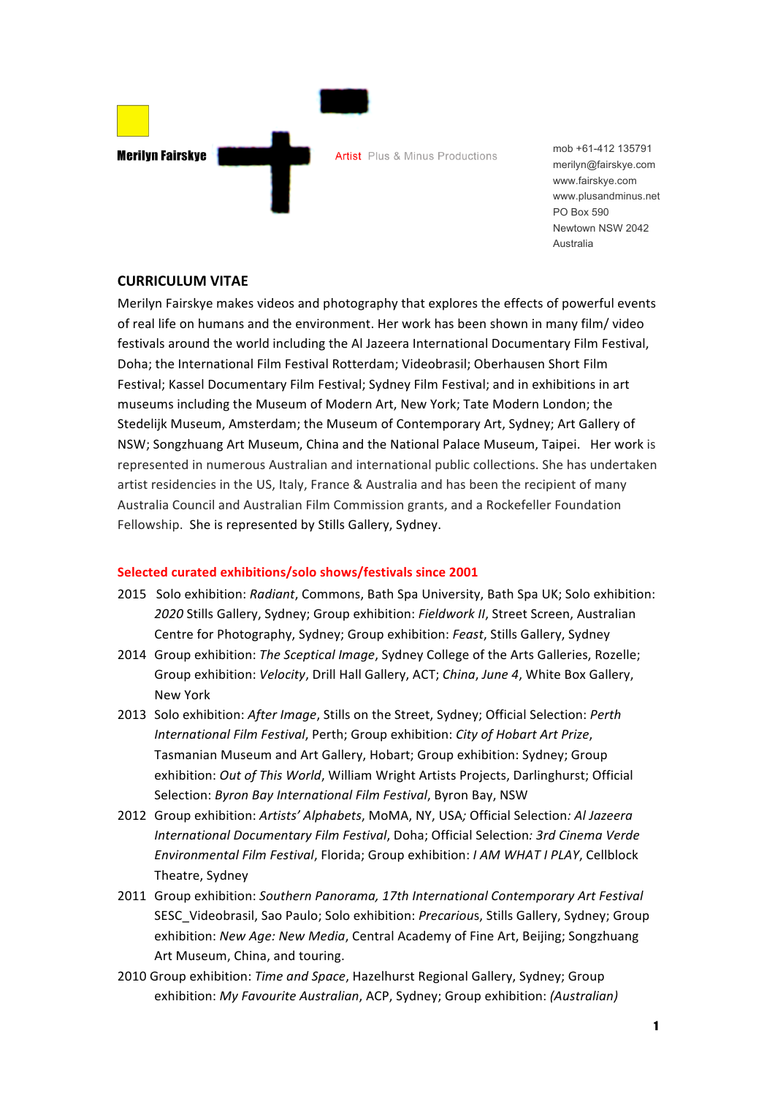

mob +61-412 135791 merilyn@fairskye.com www.fairskye.com www.plusandminus.net PO Box 590 Newtown NSW 2042 Australia

## **CURRICULUM VITAE**

Merilyn Fairskye makes videos and photography that explores the effects of powerful events of real life on humans and the environment. Her work has been shown in many film/ video festivals around the world including the Al Jazeera International Documentary Film Festival, Doha; the International Film Festival Rotterdam; Videobrasil; Oberhausen Short Film Festival; Kassel Documentary Film Festival; Sydney Film Festival; and in exhibitions in art museums including the Museum of Modern Art, New York; Tate Modern London; the Stedelijk Museum, Amsterdam; the Museum of Contemporary Art, Sydney; Art Gallery of NSW; Songzhuang Art Museum, China and the National Palace Museum, Taipei. Her work is represented in numerous Australian and international public collections. She has undertaken artist residencies in the US, Italy, France & Australia and has been the recipient of many Australia Council and Australian Film Commission grants, and a Rockefeller Foundation Fellowship. She is represented by Stills Gallery, Sydney.

## **Selected curated exhibitions/solo shows/festivals since 2001**

- 2015 Solo exhibition: *Radiant*, Commons, Bath Spa University, Bath Spa UK; Solo exhibition: 2020 Stills Gallery, Sydney; Group exhibition: Fieldwork II, Street Screen, Australian Centre for Photography, Sydney; Group exhibition: *Feast*, Stills Gallery, Sydney
- 2014 Group exhibition: *The Sceptical Image*, Sydney College of the Arts Galleries, Rozelle; Group exhibition: *Velocity*, Drill Hall Gallery, ACT; *China*, June 4, White Box Gallery, New York
- 2013 Solo exhibition: *After Image*, Stills on the Street, Sydney; Official Selection: *Perth International Film Festival*, Perth; Group exhibition: *City of Hobart Art Prize*, Tasmanian Museum and Art Gallery, Hobart; Group exhibition: Sydney; Group exhibition: Out of This World, William Wright Artists Projects, Darlinghurst; Official Selection: Byron Bay International Film Festival, Byron Bay, NSW
- 2012 Group exhibition: Artists' Alphabets, MoMA, NY, USA; Official Selection: Al Jazeera *International Documentary Film Festival, Doha; Official Selection: 3rd Cinema Verde Environmental Film Festival, Florida; Group exhibition: I AM WHAT I PLAY, Cellblock* Theatre, Sydney
- 2011 Group exhibition: Southern Panorama, 17th International Contemporary Art Festival SESC Videobrasil, Sao Paulo; Solo exhibition: *Precarious*, Stills Gallery, Sydney; Group exhibition: New Age: New Media, Central Academy of Fine Art, Beijing; Songzhuang Art Museum, China, and touring.
- 2010 Group exhibition: *Time and Space*, Hazelhurst Regional Gallery, Sydney; Group exhibition: *My Favourite Australian*, ACP, Sydney; Group exhibition: *(Australian)*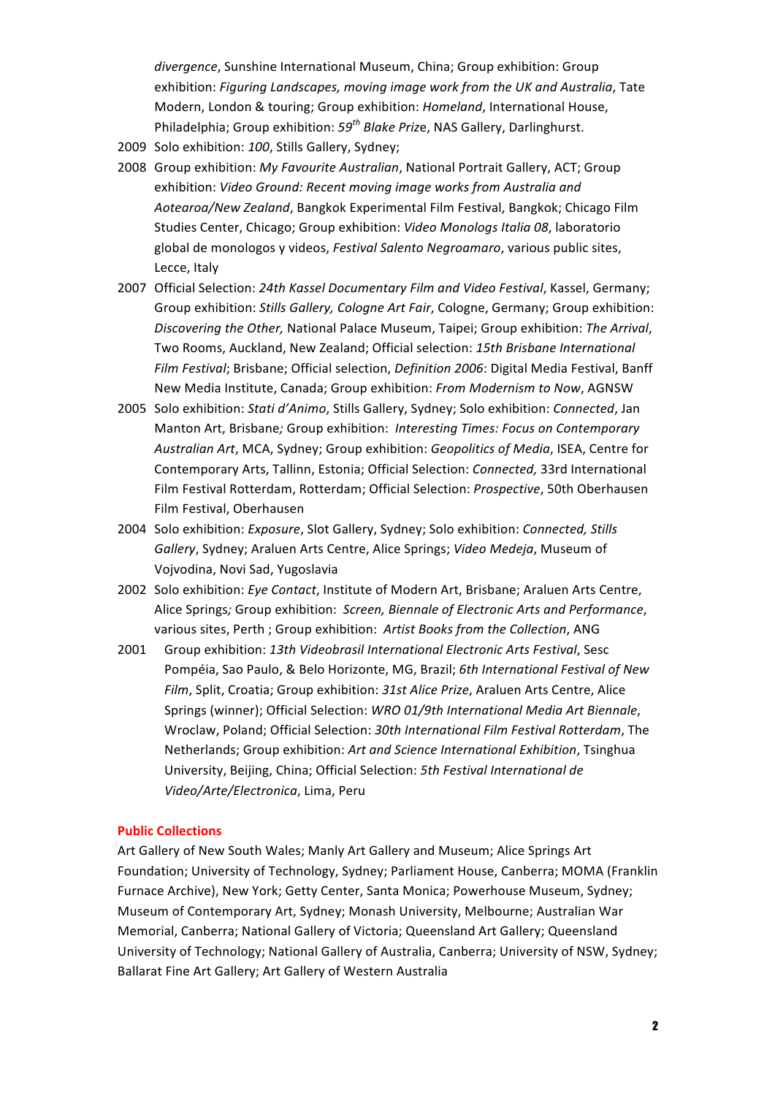divergence, Sunshine International Museum, China; Group exhibition: Group exhibition: *Figuring Landscapes, moving image work from the UK and Australia*, Tate Modern, London & touring; Group exhibition: *Homeland*, International House, Philadelphia; Group exhibition:  $59^{th}$  *Blake Prize*, NAS Gallery, Darlinghurst.

- 2009 Solo exhibition: 100, Stills Gallery, Sydney;
- 2008 Group exhibition: My Favourite Australian, National Portrait Gallery, ACT; Group exhibition: Video Ground: Recent moving image works from Australia and *Aotearoa/New Zealand*, Bangkok Experimental Film Festival, Bangkok; Chicago Film Studies Center, Chicago; Group exhibition: Video Monologs Italia 08, laboratorio global de monologos y videos, *Festival Salento Negroamaro*, various public sites, Lecce, Italy
- 2007 Official Selection: 24th Kassel Documentary Film and Video Festival, Kassel, Germany; Group exhibition: *Stills Gallery, Cologne Art Fair*, Cologne, Germany; Group exhibition: *Discovering the Other, National Palace Museum, Taipei; Group exhibition: The Arrival,* Two Rooms, Auckland, New Zealand; Official selection: 15th Brisbane International *Film Festival*; Brisbane; Official selection, *Definition 2006*: Digital Media Festival, Banff New Media Institute, Canada; Group exhibition: From Modernism to Now, AGNSW
- 2005 Solo exhibition: *Stati d'Animo*, Stills Gallery, Sydney; Solo exhibition: *Connected*, Jan Manton Art, Brisbane; Group exhibition: *Interesting Times: Focus on Contemporary* Australian Art, MCA, Sydney; Group exhibition: *Geopolitics of Media*, ISEA, Centre for Contemporary Arts, Tallinn, Estonia; Official Selection: *Connected*, 33rd International Film Festival Rotterdam, Rotterdam; Official Selection: *Prospective*, 50th Oberhausen Film Festival, Oberhausen
- 2004 Solo exhibition: *Exposure*, Slot Gallery, Sydney; Solo exhibition: *Connected, Stills Gallery*, Sydney; Araluen Arts Centre, Alice Springs; Video Medeja, Museum of Vojvodina, Novi Sad, Yugoslavia
- 2002 Solo exhibition: *Eye Contact*, Institute of Modern Art, Brisbane; Araluen Arts Centre, Alice Springs; Group exhibition: *Screen, Biennale of Electronic Arts and Performance*, various sites, Perth ; Group exhibition: Artist Books from the Collection, ANG
- 2001 Group exhibition: 13th Videobrasil International Electronic Arts Festival, Sesc Pompéia, Sao Paulo, & Belo Horizonte, MG, Brazil; 6th International Festival of New *Film*, Split, Croatia; Group exhibition: 31st Alice Prize, Araluen Arts Centre, Alice Springs (winner); Official Selection: *WRO 01/9th International Media Art Biennale*, Wroclaw, Poland; Official Selection: 30th International Film Festival Rotterdam, The Netherlands; Group exhibition: Art and Science International Exhibition, Tsinghua University, Beijing, China; Official Selection: 5th Festival International de *Video/Arte/Electronica*, Lima, Peru

#### **Public Collections**

Art Gallery of New South Wales; Manly Art Gallery and Museum; Alice Springs Art Foundation; University of Technology, Sydney; Parliament House, Canberra; MOMA (Franklin Furnace Archive), New York; Getty Center, Santa Monica; Powerhouse Museum, Sydney; Museum of Contemporary Art, Sydney; Monash University, Melbourne; Australian War Memorial, Canberra; National Gallery of Victoria; Queensland Art Gallery; Queensland University of Technology; National Gallery of Australia, Canberra; University of NSW, Sydney; Ballarat Fine Art Gallery; Art Gallery of Western Australia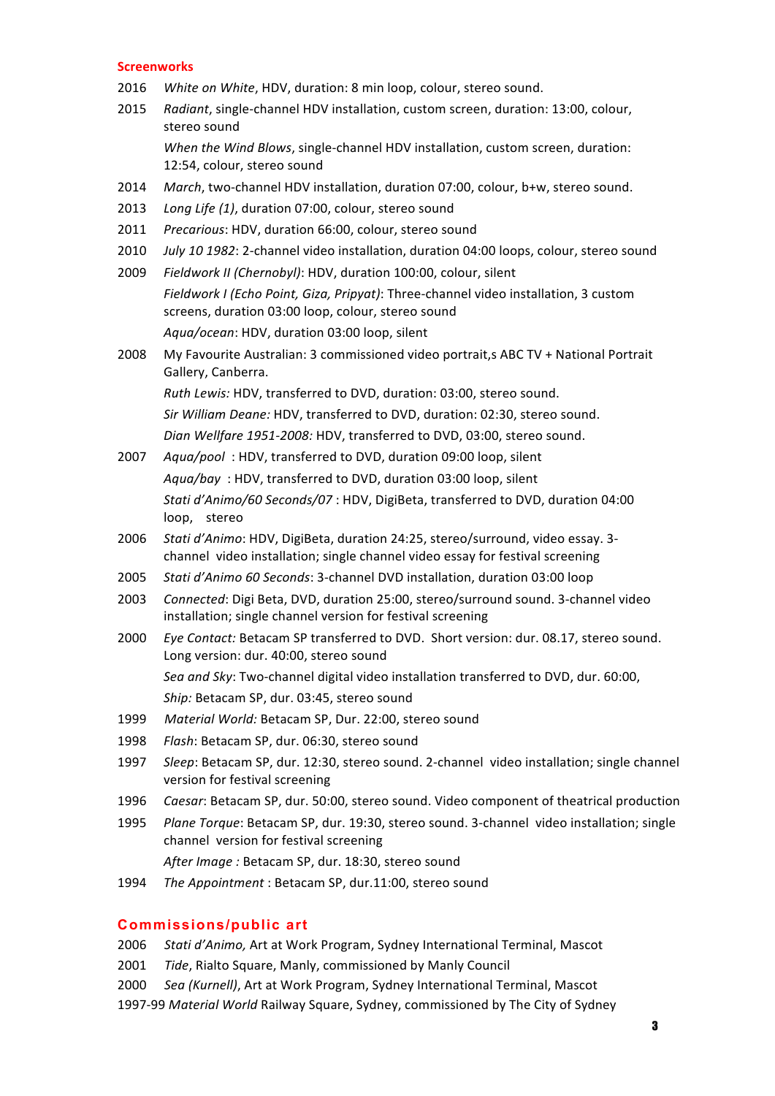#### **Screenworks**

- 2016 *White on White*, HDV, duration: 8 min loop, colour, stereo sound.
- 2015 Radiant, single-channel HDV installation, custom screen, duration: 13:00, colour, stereo sound

*When the Wind Blows, single-channel HDV installation, custom screen, duration:* 12:54, colour, stereo sound

- 2014 March, two-channel HDV installation, duration 07:00, colour, b+w, stereo sound.
- 2013 Long Life (1), duration 07:00, colour, stereo sound
- 2011 Precarious: HDV, duration 66:00, colour, stereo sound
- 2010 *July 10 1982*: 2-channel video installation, duration 04:00 loops, colour, stereo sound
- 2009 Fieldwork II (Chernobyl): HDV, duration 100:00, colour, silent *Fieldwork I (Echo Point, Giza, Pripyat)*: Three-channel video installation, 3 custom screens, duration 03:00 loop, colour, stereo sound Aqua/ocean: HDV, duration 03:00 loop, silent
- 2008 My Favourite Australian: 3 commissioned video portrait, S ABC TV + National Portrait Gallery, Canberra.

*Ruth Lewis:* HDV, transferred to DVD, duration: 03:00, stereo sound. *Sir William Deane:* HDV, transferred to DVD, duration: 02:30, stereo sound. Dian Wellfare 1951-2008: HDV, transferred to DVD, 03:00, stereo sound.

- 2007 *Aqua/pool*: HDV, transferred to DVD, duration 09:00 loop, silent Agua/bay : HDV, transferred to DVD, duration 03:00 loop, silent *Stati d'Animo/60 Seconds/07* : HDV, DigiBeta, transferred to DVD, duration 04:00 loop, stereo
- 2006 *Stati d'Animo*: HDV, DigiBeta, duration 24:25, stereo/surround, video essay. 3channel video installation; single channel video essay for festival screening
- 2005 *Stati d'Animo 60 Seconds*: 3-channel DVD installation, duration 03:00 loop
- 2003 *Connected*: Digi Beta, DVD, duration 25:00, stereo/surround sound. 3-channel video installation; single channel version for festival screening
- 2000 *Eye Contact:* Betacam SP transferred to DVD. Short version: dur. 08.17, stereo sound. Long version: dur. 40:00, stereo sound Sea and Sky: Two-channel digital video installation transferred to DVD, dur. 60:00, Ship: Betacam SP, dur. 03:45, stereo sound
- 1999 Material World: Betacam SP, Dur. 22:00, stereo sound
- 1998 Flash: Betacam SP, dur. 06:30, stereo sound
- 1997 *Sleep*: Betacam SP, dur. 12:30, stereo sound. 2-channel video installation; single channel version for festival screening
- 1996 *Caesar*: Betacam SP, dur. 50:00, stereo sound. Video component of theatrical production
- 1995 Plane Torque: Betacam SP, dur. 19:30, stereo sound. 3-channel video installation; single channel version for festival screening

After Image : Betacam SP, dur. 18:30, stereo sound

1994 The Appointment : Betacam SP, dur.11:00, stereo sound

## **Commissions/public art**

2006 Stati d'Animo, Art at Work Program, Sydney International Terminal, Mascot

- 2001 *Tide*, Rialto Square, Manly, commissioned by Manly Council
- 2000 *Sea (Kurnell)*, Art at Work Program, Sydney International Terminal, Mascot
- 1997-99 Material World Railway Square, Sydney, commissioned by The City of Sydney